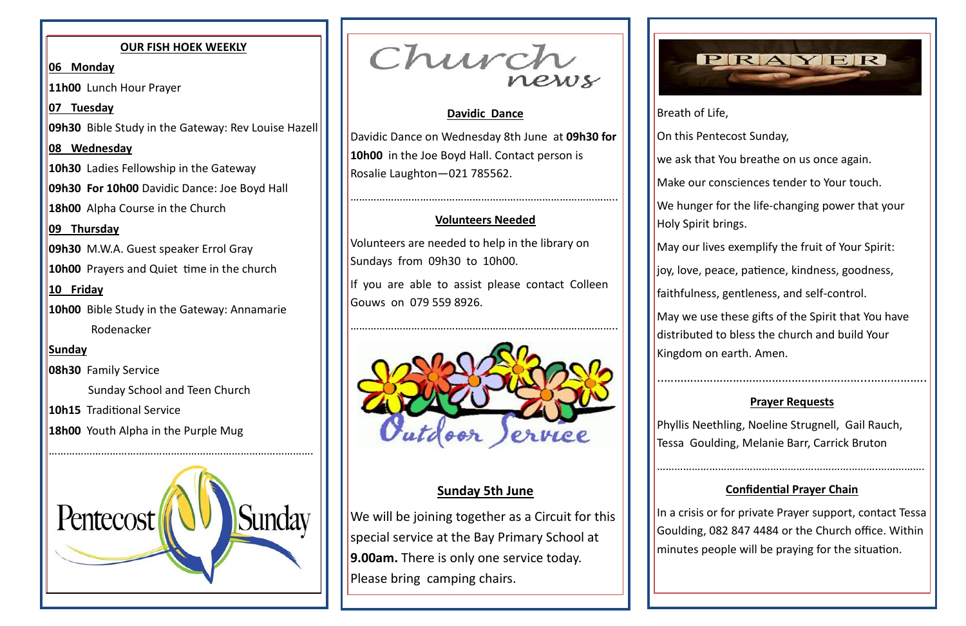#### **Davidic Dance**

Davidic Dance on Wednesday 8th June at **09h30 for 10h00** in the Joe Boyd Hall. Contact person is Rosalie Laughton—021 785562.

………………………………………………………………………………..

If you are able to assist please contact Colleen Gouws on 079 559 8926.

### **Volunteers Needed**

Volunteers are needed to help in the library on Sundays from 09h30 to 10h00.

We will be joining together as a Circuit for this special service at the Bay Primary School at **9.00am.** There is only one service today. Please bring camping chairs.





# **Sunday 5th June**

On this Pentecost Sunday,

we ask that You breathe on us once again.

Breath of Life, Holy Spirit brings.

Make our consciences tender to Your touch.

We hunger for the life-changing power that your

May our lives exemplify the fruit of Your Spirit:

joy, love, peace, patience, kindness, goodness,

faithfulness, gentleness, and self-control.

May we use these gifts of the Spirit that You have distributed to bless the church and build Your Kingdom on earth. Amen.

..……………………………………………………...……………..

### **Prayer Requests**

Phyllis Neethling, Noeline Strugnell, Gail Rauch, Tessa Goulding, Melanie Barr, Carrick Bruton

………………………………………………………………….…………….

### **Confidential Prayer Chain**

In a crisis or for private Prayer support, contact Tessa Goulding, 082 847 4484 or the Church office. Within minutes people will be praying for the situation.

#### **OUR FISH HOEK WEEKLY**

**06 Monday**

**11h00** Lunch Hour Prayer

**07 Tuesday**

**09h30** Bible Study in the Gateway: Rev Louise Hazell

**08 Wednesday**

**10h30** Ladies Fellowship in the Gateway

**09h30 For 10h00** Davidic Dance: Joe Boyd Hall

**18h00** Alpha Course in the Church

**09 Thursday**

**09h30** M.W.A. Guest speaker Errol Gray

**10h00** Prayers and Quiet time in the church

**10 Friday**

**10h00** Bible Study in the Gateway: Annamarie Rodenacker

# **Sunday**

**08h30** Family Service

Sunday School and Teen Church

**10h15** Traditional Service

**18h00** Youth Alpha in the Purple Mug



Church